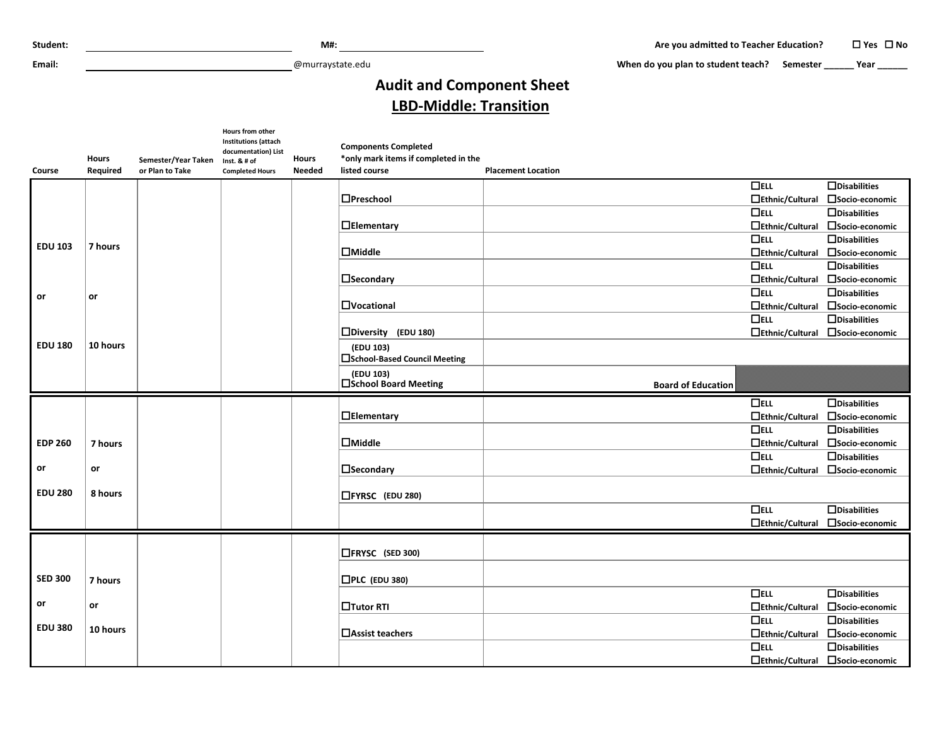**Email:** @murraystate.edu

 **When do you plan to student teach? Semester \_\_\_\_\_\_ Year \_\_\_\_\_\_**

## **Audit and Component Sheet LBD-Middle: Transition**

|                |              |                     | Hours from other<br><b>Institutions (attach</b><br>documentation) List |        | <b>Components Completed</b>                 |                                  |                                  |
|----------------|--------------|---------------------|------------------------------------------------------------------------|--------|---------------------------------------------|----------------------------------|----------------------------------|
|                | <b>Hours</b> | Semester/Year Taken | Inst. $8# of$                                                          | Hours  | *only mark items if completed in the        |                                  |                                  |
| Course         | Required     | or Plan to Take     | <b>Completed Hours</b>                                                 | Needed | listed course                               | <b>Placement Location</b>        |                                  |
|                |              |                     |                                                                        |        |                                             | $\Box$ ELL                       | $\Box$ Disabilities              |
|                |              |                     |                                                                        |        | <b>D</b> Preschool                          | $\Box$ Ethnic/Cultural           | □Socio-economic                  |
|                |              |                     |                                                                        |        |                                             | $D$ ELL                          | $\Box$ Disabilities              |
|                |              |                     |                                                                        |        | <b>DElementary</b>                          | $\Box$ Ethnic/Cultural           | □Socio-economic                  |
|                |              |                     |                                                                        |        |                                             | $\Box$ ELL                       | $\Box$ Disabilities              |
| <b>EDU 103</b> | 7 hours      |                     |                                                                        |        | $\Box$ Middle                               | □Ethnic/Cultural                 | □ Socio-economic                 |
|                |              |                     |                                                                        |        |                                             | $\overline{\Box}$ ELL            | $\Box$ Disabilities              |
|                |              |                     |                                                                        |        | $\Box$ Secondary                            | □Ethnic/Cultural                 | □Socio-economic                  |
| or             | or           |                     |                                                                        |        |                                             | $\Box$ ELL                       | $\Box$ Disabilities              |
|                |              |                     |                                                                        |        | <b>D</b> Vocational                         | □Ethnic/Cultural                 | Socio-economic                   |
|                |              |                     |                                                                        |        |                                             | $\Box$ ELL                       | $\Box$ Disabilities              |
|                |              |                     |                                                                        |        | □Diversity (EDU 180)                        | $\Box$ Ethnic/Cultural           | □Socio-economic                  |
| <b>EDU 180</b> | 10 hours     |                     |                                                                        |        | (EDU 103)<br>□ School-Based Council Meeting |                                  |                                  |
|                |              |                     |                                                                        |        | (EDU 103)<br>□School Board Meeting          | <b>Board of Education</b>        |                                  |
|                |              |                     |                                                                        |        |                                             | $\Box$ ELL                       | $\Box$ Disabilities              |
|                |              |                     |                                                                        |        | $\Box$ Elementary                           | □Ethnic/Cultural                 | □Socio-economic                  |
|                |              |                     |                                                                        |        |                                             | $\Box$ ELL                       | $\Box$ Disabilities              |
| <b>EDP 260</b> | 7 hours      |                     |                                                                        |        | $\Box$ Middle                               | □Ethnic/Cultural                 | □ Socio-economic                 |
|                |              |                     |                                                                        |        |                                             | $\Box$ ELL                       | $\Box$ Disabilities              |
| or             | or           |                     |                                                                        |        | <b>I</b> Secondary                          |                                  | □Ethnic/Cultural □Socio-economic |
|                |              |                     |                                                                        |        |                                             |                                  |                                  |
| <b>EDU 280</b> | 8 hours      |                     |                                                                        |        | □FYRSC (EDU 280)                            |                                  |                                  |
|                |              |                     |                                                                        |        |                                             | $\Box$ ELL                       | $\Box$ Disabilities              |
|                |              |                     |                                                                        |        |                                             | $\Box$ Ethnic/Cultural           | □Socio-economic                  |
|                |              |                     |                                                                        |        |                                             |                                  |                                  |
|                |              |                     |                                                                        |        | □FRYSC (SED 300)                            |                                  |                                  |
|                |              |                     |                                                                        |        |                                             |                                  |                                  |
| <b>SED 300</b> | 7 hours      |                     |                                                                        |        | $\Box$ PLC (EDU 380)                        |                                  |                                  |
|                |              |                     |                                                                        |        |                                             | $\Box$ ELL                       | $\Box$ Disabilities              |
| or             | or           |                     |                                                                        |        | <b>Tutor RTI</b>                            | $\Box$ Ethnic/Cultural           | □Socio-economic                  |
|                |              |                     |                                                                        |        |                                             | $\Box$ ELL                       | $\Box$ Disabilities              |
| <b>EDU 380</b> | 10 hours     |                     |                                                                        |        | <b>□</b> Assist teachers                    | $\Box$ Ethnic/Cultural           | □Socio-economic                  |
|                |              |                     |                                                                        |        |                                             | $\Box$ ELL                       | $\Box$ Disabilities              |
|                |              |                     |                                                                        |        |                                             | □Ethnic/Cultural □Socio-economic |                                  |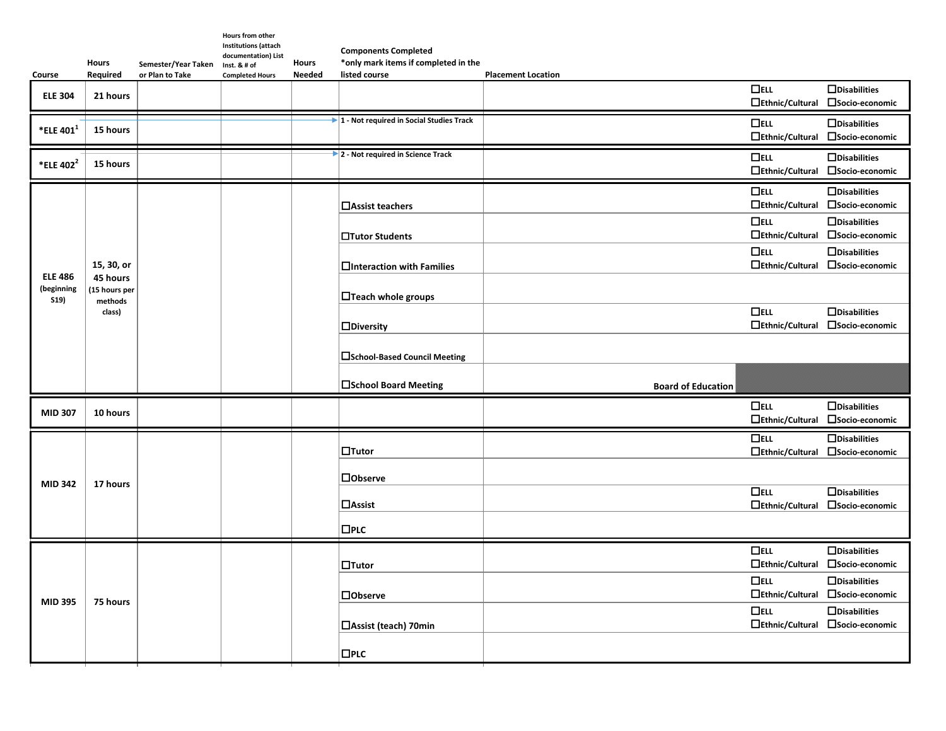| Course                               | Hours<br>Required                                           | Semester/Year Taken<br>or Plan to Take | Hours from other<br><b>Institutions (attach</b><br>documentation) List<br>Inst. & # of<br><b>Completed Hours</b> | <b>Hours</b><br><b>Needed</b> | <b>Components Completed</b><br>*only mark items if completed in the<br>listed course | <b>Placement Location</b> |                                      |                                                         |
|--------------------------------------|-------------------------------------------------------------|----------------------------------------|------------------------------------------------------------------------------------------------------------------|-------------------------------|--------------------------------------------------------------------------------------|---------------------------|--------------------------------------|---------------------------------------------------------|
| <b>ELE 304</b>                       | 21 hours                                                    |                                        |                                                                                                                  |                               |                                                                                      |                           | $\Box$ ELL<br>□Ethnic/Cultural       | $\Box$ Disabilities<br>□Socio-economic                  |
| *ELE 401 <sup>1</sup>                | 15 hours                                                    |                                        |                                                                                                                  |                               | $\blacktriangleright$ 1 - Not required in Social Studies Track                       |                           | $\Box$ ELL<br>$\Box$ Ethnic/Cultural | $\Box$ Disabilities<br>□Socio-economic                  |
| *ELE 402 <sup>2</sup>                | 15 hours                                                    |                                        |                                                                                                                  |                               | 2 - Not required in Science Track                                                    |                           | $\Box$ ELL<br>□Ethnic/Cultural       | $\Box$ Disabilities<br>Socio-economic                   |
|                                      | 15, 30, or<br>45 hours<br>15 hours per<br>methods<br>class) |                                        |                                                                                                                  |                               | $\Box$ Assist teachers                                                               |                           | $\Box$ ELL<br>□Ethnic/Cultural       | $\Box$ Disabilities<br>□Socio-economic                  |
|                                      |                                                             |                                        |                                                                                                                  |                               | <b>□Tutor Students</b>                                                               |                           | $\Box$ ELL<br>□Ethnic/Cultural       | $\Box$ Disabilities<br>□Socio-economic                  |
|                                      |                                                             |                                        |                                                                                                                  |                               | $\Box$ Interaction with Families                                                     |                           | $\Box$ ELL                           | $\Box$ Disabilities<br>□Ethnic/Cultural □Socio-economic |
| <b>ELE 486</b><br>(beginning<br>S19) |                                                             |                                        |                                                                                                                  |                               | $\Box$ Teach whole groups                                                            |                           |                                      |                                                         |
|                                      |                                                             |                                        |                                                                                                                  |                               | $\Box$ Diversity                                                                     |                           | $\Box$ ELL<br>$\Box$ Ethnic/Cultural | $\Box$ Disabilities<br>□Socio-economic                  |
|                                      |                                                             |                                        |                                                                                                                  |                               | <b>□School-Based Council Meeting</b>                                                 |                           |                                      |                                                         |
|                                      |                                                             |                                        |                                                                                                                  |                               | <b>□School Board Meeting</b>                                                         | <b>Board of Education</b> |                                      |                                                         |
| <b>MID 307</b>                       | 10 hours                                                    |                                        |                                                                                                                  |                               |                                                                                      |                           | $\Box$ ELL<br>□Ethnic/Cultural       | $\Box$ Disabilities<br>□ Socio-economic                 |
|                                      | 17 hours                                                    |                                        |                                                                                                                  |                               | $\Box$ Tutor                                                                         |                           | $\Box$ ELL                           | $\Box$ Disabilities<br>□Ethnic/Cultural □Socio-economic |
| <b>MID 342</b>                       |                                                             |                                        |                                                                                                                  |                               | $\Box$ Observe                                                                       |                           | $\Box$ ELL                           | $\Box$ Disabilities                                     |
|                                      |                                                             |                                        |                                                                                                                  |                               | $\Box$ Assist                                                                        |                           | $\Box$ Ethnic/Cultural               | □ Socio-economic                                        |
|                                      |                                                             |                                        |                                                                                                                  |                               | $\square$ PLC                                                                        |                           |                                      |                                                         |
|                                      | 75 hours                                                    |                                        |                                                                                                                  |                               | $\Box$ Tutor                                                                         |                           | $\Box$ ELL                           | $\Box$ Disabilities<br>□Ethnic/Cultural □Socio-economic |
| <b>MID 395</b>                       |                                                             |                                        |                                                                                                                  |                               | <b>Dobserve</b>                                                                      |                           | $\Box$ ELL<br>$\Box$ Ethnic/Cultural | $\Box$ Disabilities<br>□ Socio-economic                 |
|                                      |                                                             |                                        |                                                                                                                  |                               | <b>□Assist (teach) 70min</b>                                                         |                           | $\Box$ ELL                           | $\Box$ Disabilities<br>□Ethnic/Cultural □Socio-economic |
|                                      |                                                             |                                        |                                                                                                                  |                               |                                                                                      |                           |                                      |                                                         |